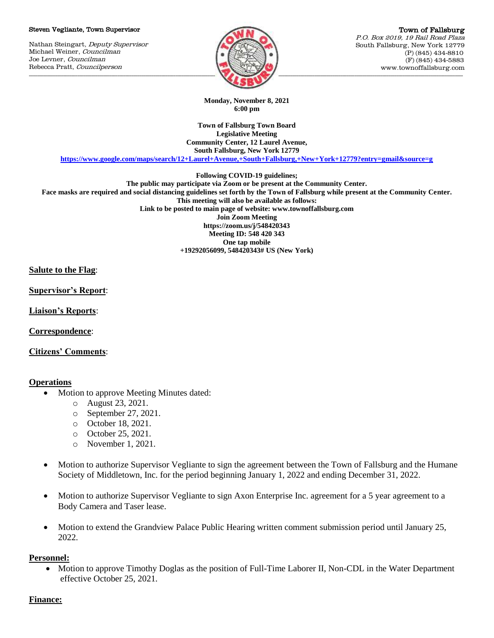#### Steven Vegliante, Town Supervisor

Nathan Steingart, Deputy Supervisor Michael Weiner, Councilman Joe Levner, Councilman Rebecca Pratt, Councilperson



Town of Fallsburg P.O. Box 2019, 19 Rail Road Plaza South Fallsburg, New York 12779 (P) (845) 434-8810 (F) (845) 434-5883 www.townoffallsburg.com

**Monday, November 8, 2021 6:00 pm**

**Town of Fallsburg Town Board Legislative Meeting Community Center, 12 Laurel Avenue, South Fallsburg, New York 12779**

**<https://www.google.com/maps/search/12+Laurel+Avenue,+South+Fallsburg,+New+York+12779?entry=gmail&source=g>**

**Following COVID-19 guidelines;**

**The public may participate via Zoom or be present at the Community Center. Face masks are required and social distancing guidelines set forth by the Town of Fallsburg while present at the Community Center. This meeting will also be available as follows: Link to be posted to main page of website: www.townoffallsburg.com Join Zoom Meeting https://zoom.us/j/548420343 Meeting ID: 548 420 343 One tap mobile +19292056099, 548420343# US (New York)**

**Salute to the Flag**:

**Supervisor's Report**:

**Liaison's Reports**:

**Correspondence**:

**Citizens' Comments**:

# **Operations**

- Motion to approve Meeting Minutes dated:
	- o August 23, 2021.
	- o September 27, 2021.
	- o October 18, 2021.
	- o October 25, 2021.
	- o November 1, 2021.
- Motion to authorize Supervisor Vegliante to sign the agreement between the Town of Fallsburg and the Humane Society of Middletown, Inc. for the period beginning January 1, 2022 and ending December 31, 2022.
- Motion to authorize Supervisor Vegliante to sign Axon Enterprise Inc. agreement for a 5 year agreement to a Body Camera and Taser lease.
- Motion to extend the Grandview Palace Public Hearing written comment submission period until January 25, 2022.

# **Personnel:**

 Motion to approve Timothy Doglas as the position of Full-Time Laborer II, Non-CDL in the Water Department effective October 25, 2021.

### **Finance:**